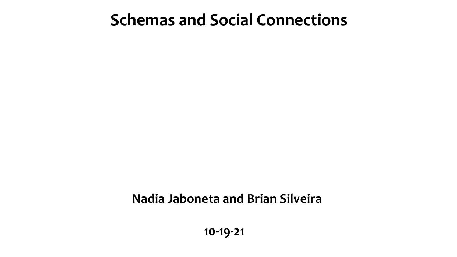#### **Schemas and Social Connections**

#### **Nadia Jaboneta and Brian Silveira**

 **10-19-21**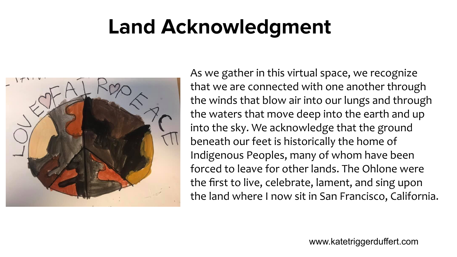# **Land Acknowledgment**



As we gather in this virtual space, we recognize that we are connected with one another through the winds that blow air into our lungs and through the waters that move deep into the earth and up into the sky. We acknowledge that the ground beneath our feet is historically the home of Indigenous Peoples, many of whom have been forced to leave for other lands. The Ohlone were the first to live, celebrate, lament, and sing upon the land where I now sit in San Francisco, California.

www.katetriggerduffert.com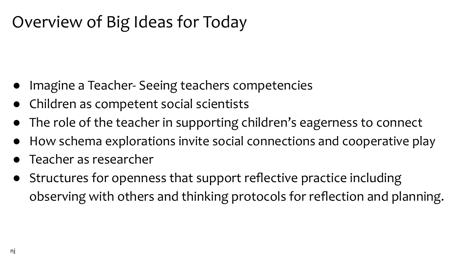### Overview of Big Ideas for Today

- Imagine a Teacher- Seeing teachers competencies
- Children as competent social scientists
- The role of the teacher in supporting children's eagerness to connect
- How schema explorations invite social connections and cooperative play
- Teacher as researcher
- Structures for openness that support reflective practice including observing with others and thinking protocols for reflection and planning.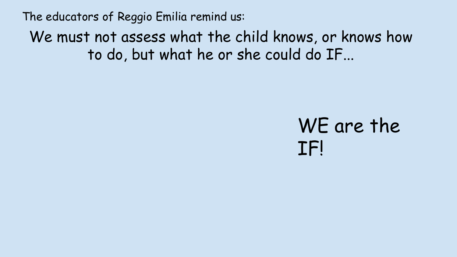The educators of Reggio Emilia remind us:

We must not assess what the child knows, or knows how to do, but what he or she could do IF...

## WE are the IF!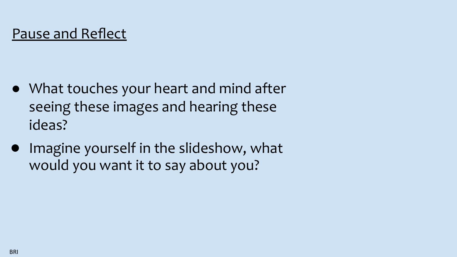#### Pause and Reflect

- What touches your heart and mind after seeing these images and hearing these ideas?
- Imagine yourself in the slideshow, what would you want it to say about you?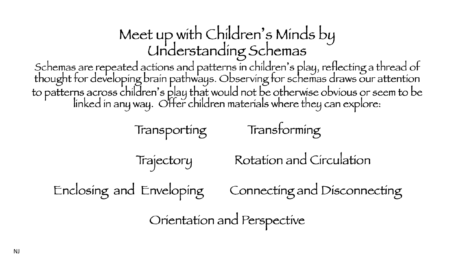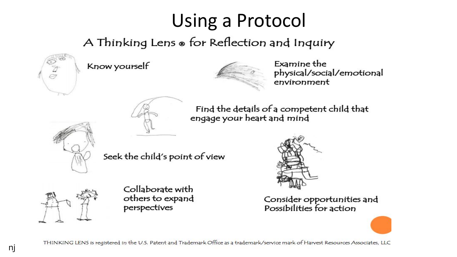## Using a Protocol

A Thinking Lens ® for Reflection and Inquiry



Know yourself



Examine the physical/social/emotional environment



Find the details of a competent child that engage your heart and mind



Seek the child's point of view



Collaborate with others to expand perspectives



Consider opportunities and Possibilities for action

THINKING LENS is registered in the U.S. Patent and Trademark Office as a trademark/service mark of Harvest Resources Associates, LLC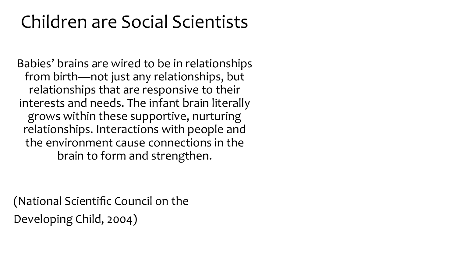### Children are Social Scientists

Babies' brains are wired to be in relationships from birth—not just any relationships, but relationships that are responsive to their interests and needs. The infant brain literally grows within these supportive, nurturing relationships. Interactions with people and the environment cause connections in the brain to form and strengthen.

(National Scientific Council on the Developing Child, 2004)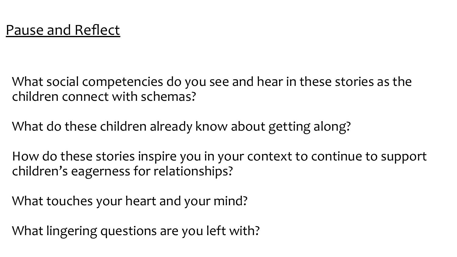What social competencies do you see and hear in these stories as the children connect with schemas?

What do these children already know about getting along?

How do these stories inspire you in your context to continue to support children's eagerness for relationships?

What touches your heart and your mind?

What lingering questions are you left with?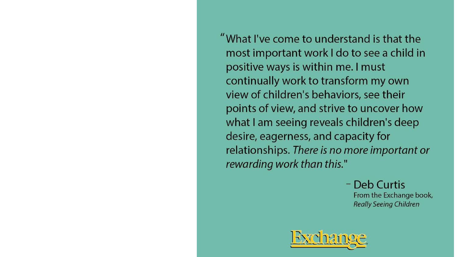"What I've come to understand is that the most important work I do to see a child in positive ways is within me. I must continually work to transform my own view of children's behaviors, see their points of view, and strive to uncover how what I am seeing reveals children's deep desire, eagerness, and capacity for relationships. There is no more important or rewarding work than this."

> - Deb Curtis From the Exchange book, **Really Seeing Children**